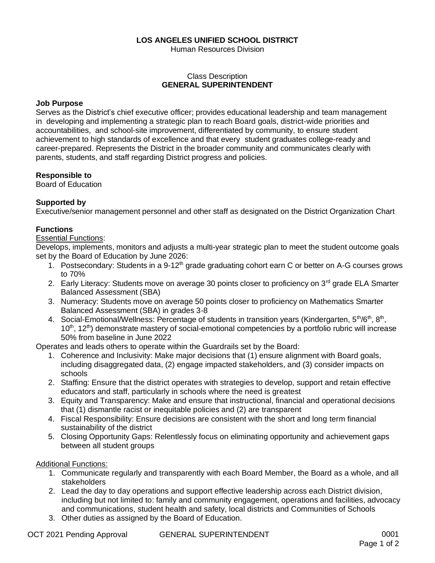## **LOS ANGELES UNIFIED SCHOOL DISTRICT**

Human Resources Division

## Class Description **GENERAL SUPERINTENDENT**

### **Job Purpose**

Serves as the District's chief executive officer; provides educational leadership and team management in developing and implementing a strategic plan to reach Board goals, district-wide priorities and accountabilities, and school-site improvement, differentiated by community, to ensure student achievement to high standards of excellence and that every student graduates college-ready and career-prepared. Represents the District in the broader community and communicates clearly with parents, students, and staff regarding District progress and policies.

### **Responsible to**

Board of Education

### **Supported by**

Executive/senior management personnel and other staff as designated on the District Organization Chart

### **Functions**

#### Essential Functions:

Develops, implements, monitors and adjusts a multi-year strategic plan to meet the student outcome goals set by the Board of Education by June 2026:

- 1. Postsecondary: Students in a 9-12<sup>th</sup> grade graduating cohort earn C or better on A-G courses grows to 70%
- 2. Early Literacy: Students move on average 30 points closer to proficiency on 3<sup>rd</sup> grade ELA Smarter Balanced Assessment (SBA)
- 3. Numeracy: Students move on average 50 points closer to proficiency on Mathematics Smarter Balanced Assessment (SBA) in grades 3-8
- 4. Social-Emotional/Wellness: Percentage of students in transition years (Kindergarten, 5<sup>th</sup>/6<sup>th</sup>, 8<sup>th</sup>,  $10<sup>th</sup>$ ,  $12<sup>th</sup>$ ) demonstrate mastery of social-emotional competencies by a portfolio rubric will increase 50% from baseline in June 2022

Operates and leads others to operate within the Guardrails set by the Board:

- 1. Coherence and Inclusivity: Make major decisions that (1) ensure alignment with Board goals, including disaggregated data, (2) engage impacted stakeholders, and (3) consider impacts on schools
- 2. Staffing: Ensure that the district operates with strategies to develop, support and retain effective educators and staff, particularly in schools where the need is greatest
- 3. Equity and Transparency: Make and ensure that instructional, financial and operational decisions that (1) dismantle racist or inequitable policies and (2) are transparent
- 4. Fiscal Responsibility: Ensure decisions are consistent with the short and long term financial sustainability of the district
- 5. Closing Opportunity Gaps: Relentlessly focus on eliminating opportunity and achievement gaps between all student groups

### Additional Functions:

- 1. Communicate regularly and transparently with each Board Member, the Board as a whole, and all stakeholders
- 2. Lead the day to day operations and support effective leadership across each District division, including but not limited to: family and community engagement, operations and facilities, advocacy and communications, student health and safety, local districts and Communities of Schools
- 3. Other duties as assigned by the Board of Education.